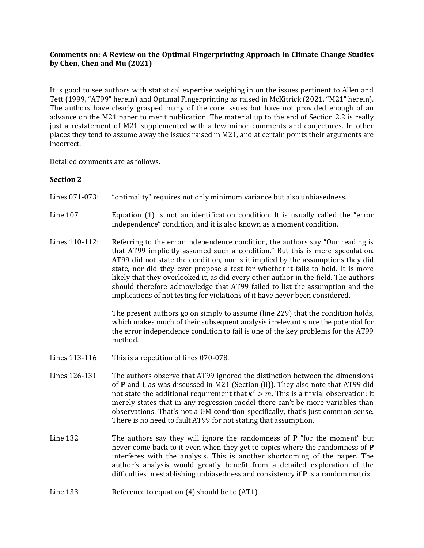# **Comments on: A Review on the Optimal Fingerprinting Approach in Climate Change Studies by Chen, Chen and Mu (2021)**

It is good to see authors with statistical expertise weighing in on the issues pertinent to Allen and Tett (1999, "AT99" herein) and Optimal Fingerprinting as raised in McKitrick (2021, "M21" herein). The authors have clearly grasped many of the core issues but have not provided enough of an advance on the M21 paper to merit publication. The material up to the end of Section 2.2 is really just a restatement of M21 supplemented with a few minor comments and conjectures. In other places they tend to assume away the issues raised in M21, and at certain points their arguments are incorrect.

Detailed comments are as follows.

# **Section 2**

- Lines 071-073: "optimality" requires not only minimum variance but also unbiasedness.
- Line 107 Equation (1) is not an identification condition. It is usually called the "error independence" condition, and it is also known as a moment condition.
- Lines 110-112: Referring to the error independence condition, the authors say "Our reading is that AT99 implicitly assumed such a condition." But this is mere speculation. AT99 did not state the condition, nor is it implied by the assumptions they did state, nor did they ever propose a test for whether it fails to hold. It is more likely that they overlooked it, as did every other author in the field. The authors should therefore acknowledge that AT99 failed to list the assumption and the implications of not testing for violations of it have never been considered.

The present authors go on simply to assume (line 229) that the condition holds, which makes much of their subsequent analysis irrelevant since the potential for the error independence condition to fail is one of the key problems for the AT99 method.

- Lines 113-116 This is a repetition of lines 070-078.
- Lines 126-131 The authors observe that AT99 ignored the distinction between the dimensions of **P** and **I**, as was discussed in M21 (Section (ii)). They also note that AT99 did not state the additional requirement that  $\kappa' > m$ . This is a trivial observation: it merely states that in any regression model there can't be more variables than observations. That's not a GM condition specifically, that's just common sense. There is no need to fault AT99 for not stating that assumption.
- Line 132 The authors say they will ignore the randomness of **P** "for the moment" but never come back to it even when they get to topics where the randomness of **P** interferes with the analysis. This is another shortcoming of the paper. The author's analysis would greatly benefit from a detailed exploration of the difficulties in establishing unbiasedness and consistency if **P** is a random matrix.
- Line 133 Reference to equation (4) should be to (AT1)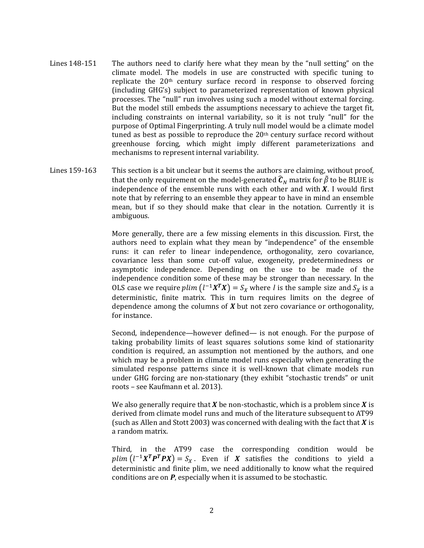- Lines 148-151 The authors need to clarify here what they mean by the "null setting" on the climate model. The models in use are constructed with specific tuning to replicate the 20th century surface record in response to observed forcing (including GHG's) subject to parameterized representation of known physical processes. The "null" run involves using such a model without external forcing. But the model still embeds the assumptions necessary to achieve the target fit, including constraints on internal variability, so it is not truly "null" for the purpose of Optimal Fingerprinting. A truly null model would be a climate model tuned as best as possible to reproduce the  $20<sup>th</sup>$  century surface record without greenhouse forcing, which might imply different parameterizations and mechanisms to represent internal variability.
- Lines 159-163 This section is a bit unclear but it seems the authors are claiming, without proof, that the only requirement on the model-generated  $\widehat{C}_N$  matrix for  $\widetilde{\beta}$  to be BLUE is independence of the ensemble runs with each other and with  $X$ . I would first note that by referring to an ensemble they appear to have in mind an ensemble mean, but if so they should make that clear in the notation. Currently it is ambiguous.

More generally, there are a few missing elements in this discussion. First, the authors need to explain what they mean by "independence" of the ensemble runs: it can refer to linear independence, orthogonality, zero covariance, covariance less than some cut-off value, exogeneity, predeterminedness or asymptotic independence. Depending on the use to be made of the independence condition some of these may be stronger than necessary. In the OLS case we require  $plim (l^{-1}X^TX) = S_X$  where *l* is the sample size and  $S_X$  is a deterministic, finite matrix. This in turn requires limits on the degree of dependence among the columns of *X* but not zero covariance or orthogonality, for instance.

Second, independence—however defined— is not enough. For the purpose of taking probability limits of least squares solutions some kind of stationarity condition is required, an assumption not mentioned by the authors, and one which may be a problem in climate model runs especially when generating the simulated response patterns since it is well-known that climate models run under GHG forcing are non-stationary (they exhibit "stochastic trends" or unit roots – see Kaufmann et al. 2013).

We also generally require that  $X$  be non-stochastic, which is a problem since  $X$  is derived from climate model runs and much of the literature subsequent to AT99 (such as Allen and Stott 2003) was concerned with dealing with the fact that  $X$  is a random matrix.

Third, in the AT99 case the corresponding condition would be  $plim (l^{-1}X^T P^T P X) = S_X$ . Even if X satisfies the conditions to yield a deterministic and finite plim, we need additionally to know what the required conditions are on *P*, especially when it is assumed to be stochastic.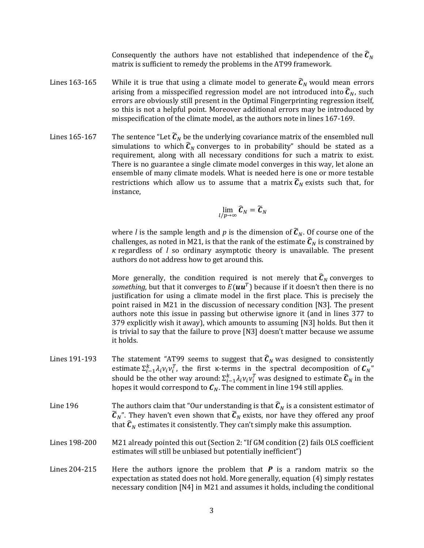Consequently the authors have not established that independence of the  $\widehat{C}_N$ matrix is sufficient to remedy the problems in the AT99 framework.

- Lines 163-165 While it is true that using a climate model to generate  $\widehat{c}_N$  would mean errors arising from a misspecified regression model are not introduced into  $\widehat{C}_N$ , such errors are obviously still present in the Optimal Fingerprinting regression itself, so this is not a helpful point. Moreover additional errors may be introduced by misspecification of the climate model, as the authors note in lines 167-169.
- Lines 165-167 The sentence "Let  $\tilde{\mathcal{C}}_N$  be the underlying covariance matrix of the ensembled null simulations to which  $\widehat{C}_N$  converges to in probability" should be stated as a requirement, along with all necessary conditions for such a matrix to exist. There is no guarantee a single climate model converges in this way, let alone an ensemble of many climate models. What is needed here is one or more testable restrictions which allow us to assume that a matrix  $\widetilde{C}_N$  exists such that, for instance,

$$
\lim_{l/p\to\infty}\widehat{\boldsymbol{C}}_N=\widetilde{\boldsymbol{C}}_N
$$

where *l* is the sample length and *p* is the dimension of  $\tilde{C}_N$ . Of course one of the challenges, as noted in M21, is that the rank of the estimate  $\widehat{c}_N$  is constrained by regardless of *l* so ordinary asymptotic theory is unavailable. The present authors do not address how to get around this.

More generally, the condition required is not merely that  $\widehat{C}_N$  converges to *something,* but that it converges to  $E(\boldsymbol{u}\boldsymbol{u}^T)$  because if it doesn't then there is no justification for using a climate model in the first place. This is precisely the point raised in M21 in the discussion of necessary condition [N3]. The present authors note this issue in passing but otherwise ignore it (and in lines 377 to 379 explicitly wish it away), which amounts to assuming [N3] holds. But then it is trivial to say that the failure to prove [N3] doesn't matter because we assume it holds.

- Lines 191-193 The statement "AT99 seems to suggest that  $\widehat{C}_N$  was designed to consistently estimate  $\sum_{i=1}^{k} \lambda_i v_i v_i^T$ , the first k-terms in the spectral decomposition of  $C_N$ " should be the other way around:  $\Sigma_{i-1}^k \lambda_i v_i v_i^T$  was designed to estimate  $\widehat{\bm{C}}_N$  in the hopes it would correspond to  $C_N$ . The comment in line 194 still applies.
- Line 196 The authors claim that "Our understanding is that  $\hat{C}_N$  is a consistent estimator of  $\widetilde{\mathbf{C}}_{N}$ ". They haven't even shown that  $\widetilde{\mathbf{C}}_{N}$  exists, nor have they offered any proof that  $\widehat{C}_N$  estimates it consistently. They can't simply make this assumption.
- Lines 198-200 M21 already pointed this out (Section 2: "If GM condition (2) fails OLS coefficient estimates will still be unbiased but potentially inefficient")
- Lines 204-215 Here the authors ignore the problem that *P* is a random matrix so the expectation as stated does not hold. More generally, equation (4) simply restates necessary condition [N4] in M21 and assumes it holds, including the conditional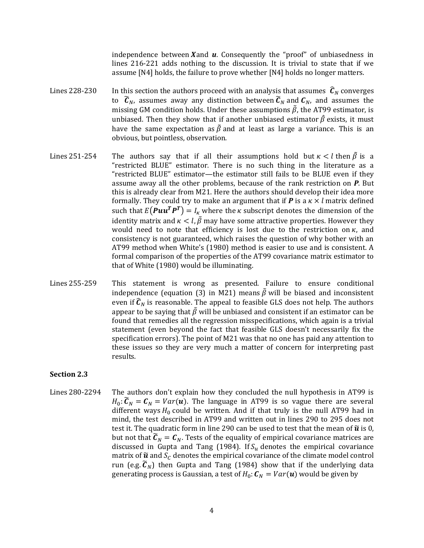independence between  $X$  and  $U$ . Consequently the "proof" of unbiasedness in lines 216-221 adds nothing to the discussion. It is trivial to state that if we assume [N4] holds, the failure to prove whether [N4] holds no longer matters.

- Lines 228-230 In this section the authors proceed with an analysis that assumes  $\hat{C}_N$  converges to  $\tilde{c}_N$ , assumes away any distinction between  $\tilde{c}_N$  and  $c_N$ , and assumes the missing GM condition holds. Under these assumptions  $\tilde{\beta}$ , the AT99 estimator, is unbiased. Then they show that if another unbiased estimator  $\hat{\beta}$  exists, it must have the same expectation as  $\bar{\beta}$  and at least as large a variance. This is an obvious, but pointless, observation.
- Lines 251-254 The authors say that if all their assumptions hold but  $\kappa < l$  then  $\tilde{\beta}$  is a "restricted BLUE" estimator. There is no such thing in the literature as a "restricted BLUE" estimator—the estimator still fails to be BLUE even if they assume away all the other problems, because of the rank restriction on *P*. But this is already clear from M21. Here the authors should develop their idea more formally. They could try to make an argument that if  $P$  is a  $\kappa \times l$  matrix defined such that  $E(Puu^T P^T) = I_{\kappa}$  where the  $\kappa$  subscript denotes the dimension of the identity matrix and  $\kappa < l$ ,  $\tilde{\beta}$  may have some attractive properties. However they would need to note that efficiency is lost due to the restriction on  $\kappa$ , and consistency is not guaranteed, which raises the question of why bother with an AT99 method when White's (1980) method is easier to use and is consistent. A formal comparison of the properties of the AT99 covariance matrix estimator to that of White (1980) would be illuminating.
- Lines 255-259 This statement is wrong as presented. Failure to ensure conditional independence (equation (3) in M21) means  $\tilde{\beta}$  will be biased and inconsistent even if  $\hat{\mathcal{C}}_N$  is reasonable. The appeal to feasible GLS does not help. The authors appear to be saying that  $\tilde{\beta}$  will be unbiased and consistent if an estimator can be found that remedies all the regression misspecifications, which again is a trivial statement (even beyond the fact that feasible GLS doesn't necessarily fix the specification errors). The point of M21 was that no one has paid any attention to these issues so they are very much a matter of concern for interpreting past results.

### **Section 2.3**

Lines 280-2294 The authors don't explain how they concluded the null hypothesis in AT99 is  $H_0$ :  $\widetilde{C}_N = C_N = Var(u)$ . The language in AT99 is so vague there are several different ways  $H_0$  could be written. And if that truly is the null AT99 had in mind, the test described in AT99 and written out in lines 290 to 295 does not test it. The quadratic form in line 290 can be used to test that the mean of  $\tilde{u}$  is 0, but not that  $\widetilde{C}_N = C_N$ . Tests of the equality of empirical covariance matrices are discussed in Gupta and Tang (1984). If  $S_u$  denotes the empirical covariance matrix of  $\tilde{u}$  and  $S_c$  denotes the empirical covariance of the climate model control run (e.g.  $\tilde{C}_N$ ) then Gupta and Tang (1984) show that if the underlying data generating process is Gaussian, a test of  $H_0: C_N = Var(u)$  would be given by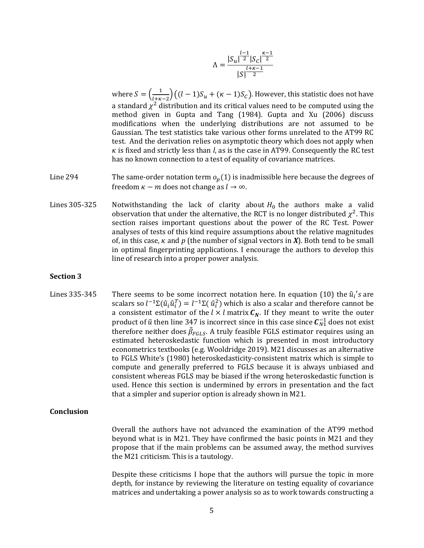$$
\Lambda = \frac{|S_u|^{\frac{l-1}{2}} |S_c|^{\frac{\kappa-1}{2}}}{|S|^{\frac{l+\kappa-1}{2}}}
$$

where  $S = \left(\frac{1}{1+r^2}\right)$  $\frac{1}{(l+\kappa-2)}((l-1)S_u + (\kappa-1)S_c)$ . However, this statistic does not have a standard  $\chi^2$  distribution and its critical values need to be computed using the method given in Gupta and Tang (1984). Gupta and Xu (2006) discuss modifications when the underlying distributions are not assumed to be Gaussian. The test statistics take various other forms unrelated to the AT99 RC test. And the derivation relies on asymptotic theory which does not apply when  $\kappa$  is fixed and strictly less than *l*, as is the case in AT99. Consequently the RC test has no known connection to a test of equality of covariance matrices.

- Line 294 The same-order notation term  $o_p(1)$  is inadmissible here because the degrees of freedom  $\kappa - m$  does not change as  $l \to \infty$ .
- Lines 305-325 Notwithstanding the lack of clarity about  $H_0$  the authors make a valid observation that under the alternative, the RCT is no longer distributed  $\chi^2$ . This section raises important questions about the power of the RC Test. Power analyses of tests of this kind require assumptions about the relative magnitudes of, in this case,  $\kappa$  and  $p$  (the number of signal vectors in  $\boldsymbol{X}$ ). Both tend to be small in optimal fingerprinting applications. I encourage the authors to develop this line of research into a proper power analysis.

### **Section 3**

Lines 335-345 There seems to be some incorrect notation here. In equation (10) the  $\hat{u}_i$ 's are scalars so  $l^{-1}\Sigma(\hat{u}_i\hat{u}_i^T)=l^{-1}\Sigma(\hat{u}_i^2)$  which is also a scalar and therefore cannot be a consistent estimator of the  $l \times l$  matrix  $C_N$ . If they meant to write the outer product of  $\tilde{u}$  then line 347 is incorrect since in this case since  $\pmb{\mathcal{C}}_{N1}^{-1}$  does not exist therefore neither does  $\tilde{\beta}_{FGLS}$ . A truly feasible FGLS estimator requires using an estimated heteroskedastic function which is presented in most introductory econometrics textbooks (e.g. Wooldridge 2019). M21 discusses as an alternative to FGLS White's (1980) heteroskedasticity-consistent matrix which is simple to compute and generally preferred to FGLS because it is always unbiased and consistent whereas FGLS may be biased if the wrong heteroskedastic function is used. Hence this section is undermined by errors in presentation and the fact that a simpler and superior option is already shown in M21.

### **Conclusion**

Overall the authors have not advanced the examination of the AT99 method beyond what is in M21. They have confirmed the basic points in M21 and they propose that if the main problems can be assumed away, the method survives the M21 criticism. This is a tautology.

Despite these criticisms I hope that the authors will pursue the topic in more depth, for instance by reviewing the literature on testing equality of covariance matrices and undertaking a power analysis so as to work towards constructing a